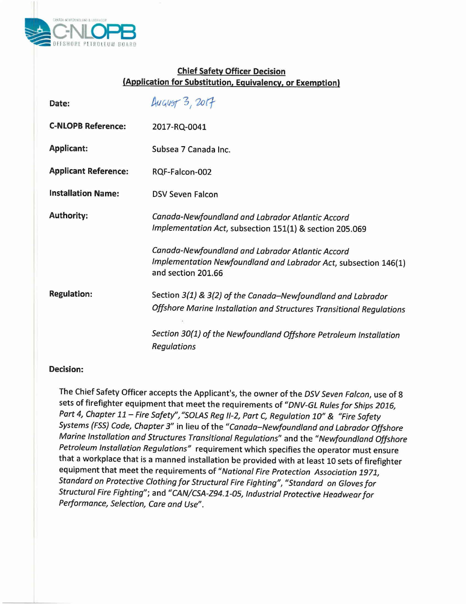

## **Chief Safety Officer Decision (Application for Substitution, Equivalency, or Exemption)**

| Date:                       | <b>August 3, 2017</b>                                                                                                                     |
|-----------------------------|-------------------------------------------------------------------------------------------------------------------------------------------|
| <b>C-NLOPB Reference:</b>   | 2017-RQ-0041                                                                                                                              |
| <b>Applicant:</b>           | Subsea 7 Canada Inc.                                                                                                                      |
| <b>Applicant Reference:</b> | RQF-Falcon-002                                                                                                                            |
| <b>Installation Name:</b>   | <b>DSV Seven Falcon</b>                                                                                                                   |
| <b>Authority:</b>           | Canada-Newfoundland and Labrador Atlantic Accord<br>Implementation Act, subsection 151(1) & section 205.069                               |
|                             | Canada-Newfoundland and Labrador Atlantic Accord<br>Implementation Newfoundland and Labrador Act, subsection 146(1)<br>and section 201.66 |
| <b>Regulation:</b>          | Section 3(1) & 3(2) of the Canada-Newfoundland and Labrador<br>Offshore Marine Installation and Structures Transitional Regulations       |
|                             | Section 30(1) of the Newfoundland Offshore Petroleum Installation<br><b>Regulations</b>                                                   |

## **Decision:**

The Chief Safety Officer accepts the Applicant's, the owner of the *DSV Seven Falcon,* use of 8 sets of firefighter equipment that meet the requirements of *"DNV-GLRules for Ships 2016, Part* 4, *Chapter* 11 - *Fire Safety"*, "SOLAS Reg II-2, Part C, Regulation 10" & "Fire Safety *Systems (FSS)Code, Chapter* 3" in lieu of the *"Canada-Newfoundland and Labrador Offshore Marine Installation and Structures Transitional Regulations"* and the *"Newfoundland Offshore Petroleum Installation Regulations"* requirement which specifies the operator must ensure that a workplace that is a manned installation be provided with at least 10 sets of firefighter equipment that meet the requirements of *"National Fire Protection Association 1971, Standard on Protective Clothing for Structural Fire Fighting", "Standard on Gloves for Structural Fire Fighting";* and *"CAN/CSA-Z94.1-05, Industrial Protective Headwear for Performance, Selection, Care and Use".*